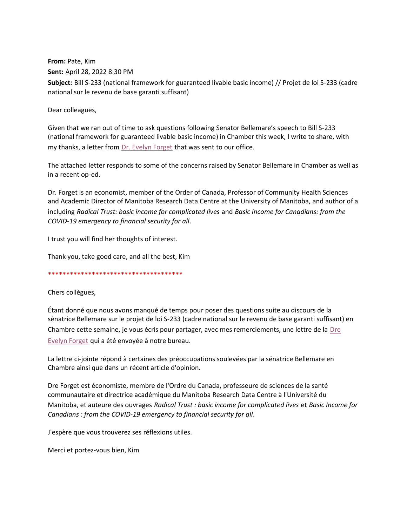**From:** Pate, Kim **Sent:** April 28, 2022 8:30 PM **Subject:** Bill S-233 (national framework for guaranteed livable basic income) // Projet de loi S-233 (cadre national sur le revenu de base garanti suffisant)

Dear colleagues,

Given that we ran out of time to ask questions following Senator Bellemare's speech to Bill S-233 (national framework for guaranteed livable basic income) in Chamber this week, I write to share, with my thanks, a letter from [Dr. Evelyn Forget](http://home.cc.umanitoba.ca/~forget/index.html#_blank) that was sent to our office.

The attached letter responds to some of the concerns raised by Senator Bellemare in Chamber as well as in a recent op-ed.

Dr. Forget is an economist, member of the Order of Canada, Professor of Community Health Sciences and Academic Director of Manitoba Research Data Centre at the University of Manitoba, and author of a including *Radical Trust: basic income for complicated lives* and *Basic Income for Canadians: from the COVID-19 emergency to financial security for all*.

I trust you will find her thoughts of interest.

Thank you, take good care, and all the best, Kim

\*\*\*\*\*\*\*\*\*\*\*\*\*\*\*\*\*\*\*\*\*\*\*\*\*\*\*\*\*\*\*\*\*\*\*\*\*

Chers collègues,

Étant donné que nous avons manqué de temps pour poser des questions suite au discours de la sénatrice Bellemare sur le projet de loi S-233 (cadre national sur le revenu de base garanti suffisant) en Chambre cette semaine, je vous écris pour partager, avec mes remerciements, une lettre de la Dre [Evelyn Forget](http://home.cc.umanitoba.ca/~forget/index.html) qui a été envoyée à notre bureau.

La lettre ci-jointe répond à certaines des préoccupations soulevées par la sénatrice Bellemare en Chambre ainsi que dans un récent article d'opinion.

Dre Forget est économiste, membre de l'Ordre du Canada, professeure de sciences de la santé communautaire et directrice académique du Manitoba Research Data Centre à l'Université du Manitoba, et auteure des ouvrages *Radical Trust : basic income for complicated lives* et *Basic Income for Canadians : from the COVID-19 emergency to financial security for all*.

J'espère que vous trouverez ses réflexions utiles.

Merci et portez-vous bien, Kim